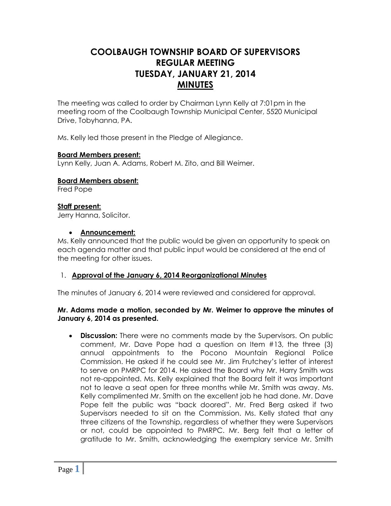# **COOLBAUGH TOWNSHIP BOARD OF SUPERVISORS REGULAR MEETING TUESDAY, JANUARY 21, 2014 MINUTES**

The meeting was called to order by Chairman Lynn Kelly at 7:01pm in the meeting room of the Coolbaugh Township Municipal Center, 5520 Municipal Drive, Tobyhanna, PA.

Ms. Kelly led those present in the Pledge of Allegiance.

### **Board Members present:**

Lynn Kelly, Juan A. Adams, Robert M. Zito, and Bill Weimer.

**Board Members absent:**

Fred Pope

### **Staff present:**

Jerry Hanna, Solicitor.

### **Announcement:**

Ms. Kelly announced that the public would be given an opportunity to speak on each agenda matter and that public input would be considered at the end of the meeting for other issues.

### 1. **Approval of the January 6, 2014 Reorganizational Minutes**

The minutes of January 6, 2014 were reviewed and considered for approval.

### **Mr. Adams made a motion, seconded by Mr. Weimer to approve the minutes of January 6, 2014 as presented.**

 **Discussion:** There were no comments made by the Supervisors. On public comment, Mr. Dave Pope had a question on Item #13, the three (3) annual appointments to the Pocono Mountain Regional Police Commission. He asked if he could see Mr. Jim Frutchey's letter of interest to serve on PMRPC for 2014. He asked the Board why Mr. Harry Smith was not re-appointed. Ms. Kelly explained that the Board felt it was important not to leave a seat open for three months while Mr. Smith was away. Ms. Kelly complimented Mr. Smith on the excellent job he had done. Mr. Dave Pope felt the public was "back doored". Mr. Fred Berg asked if two Supervisors needed to sit on the Commission. Ms. Kelly stated that any three citizens of the Township, regardless of whether they were Supervisors or not, could be appointed to PMRPC. Mr. Berg felt that a letter of gratitude to Mr. Smith, acknowledging the exemplary service Mr. Smith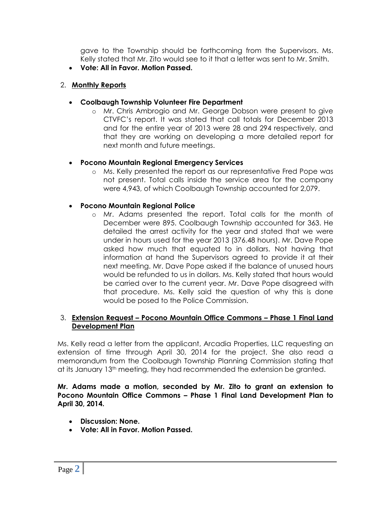gave to the Township should be forthcoming from the Supervisors. Ms. Kelly stated that Mr. Zito would see to it that a letter was sent to Mr. Smith.

**Vote: All in Favor. Motion Passed.**

# 2. **Monthly Reports**

- **Coolbaugh Township Volunteer Fire Department**
	- o Mr. Chris Ambrogio and Mr. George Dobson were present to give CTVFC's report. It was stated that call totals for December 2013 and for the entire year of 2013 were 28 and 294 respectively, and that they are working on developing a more detailed report for next month and future meetings.

# **Pocono Mountain Regional Emergency Services**

o Ms. Kelly presented the report as our representative Fred Pope was not present. Total calls inside the service area for the company were 4,943, of which Coolbaugh Township accounted for 2,079.

# **Pocono Mountain Regional Police**

o Mr. Adams presented the report. Total calls for the month of December were 895. Coolbaugh Township accounted for 363. He detailed the arrest activity for the year and stated that we were under in hours used for the year 2013 (376.48 hours). Mr. Dave Pope asked how much that equated to in dollars. Not having that information at hand the Supervisors agreed to provide it at their next meeting. Mr. Dave Pope asked if the balance of unused hours would be refunded to us in dollars. Ms. Kelly stated that hours would be carried over to the current year. Mr. Dave Pope disagreed with that procedure. Ms. Kelly said the question of why this is done would be posed to the Police Commission.

# 3. **Extension Request – Pocono Mountain Office Commons – Phase 1 Final Land Development Plan**

Ms. Kelly read a letter from the applicant, Arcadia Properties, LLC requesting an extension of time through April 30, 2014 for the project. She also read a memorandum from the Coolbaugh Township Planning Commission stating that at its January 13<sup>th</sup> meeting, they had recommended the extension be granted.

**Mr. Adams made a motion, seconded by Mr. Zito to grant an extension to Pocono Mountain Office Commons – Phase 1 Final Land Development Plan to April 30, 2014.**

- **Discussion: None.**
- **Vote: All in Favor. Motion Passed.**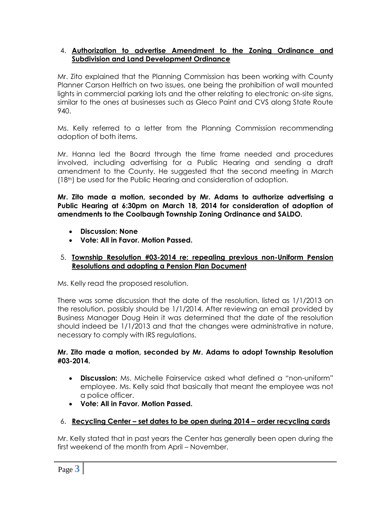## 4. **Authorization to advertise Amendment to the Zoning Ordinance and Subdivision and Land Development Ordinance**

Mr. Zito explained that the Planning Commission has been working with County Planner Carson Helfrich on two issues, one being the prohibition of wall mounted lights in commercial parking lots and the other relating to electronic on-site signs, similar to the ones at businesses such as Gleco Paint and CVS along State Route 940.

Ms. Kelly referred to a letter from the Planning Commission recommending adoption of both items.

Mr. Hanna led the Board through the time frame needed and procedures involved, including advertising for a Public Hearing and sending a draft amendment to the County. He suggested that the second meeting in March (18th) be used for the Public Hearing and consideration of adoption.

**Mr. Zito made a motion, seconded by Mr. Adams to authorize advertising a Public Hearing at 6:30pm on March 18, 2014 for consideration of adoption of amendments to the Coolbaugh Township Zoning Ordinance and SALDO.**

- **Discussion: None**
- **Vote: All in Favor. Motion Passed.**

# 5. **Township Resolution #03-2014 re: repealing previous non-Uniform Pension Resolutions and adopting a Pension Plan Document**

Ms. Kelly read the proposed resolution.

There was some discussion that the date of the resolution, listed as 1/1/2013 on the resolution, possibly should be 1/1/2014. After reviewing an email provided by Business Manager Doug Hein it was determined that the date of the resolution should indeed be 1/1/2013 and that the changes were administrative in nature, necessary to comply with IRS regulations.

# **Mr. Zito made a motion, seconded by Mr. Adams to adopt Township Resolution #03-2014.**

- **Discussion:** Ms. Michelle Fairservice asked what defined a "non-uniform" employee. Ms. Kelly said that basically that meant the employee was not a police officer.
- **Vote: All in Favor. Motion Passed.**

# 6. **Recycling Center – set dates to be open during 2014 – order recycling cards**

Mr. Kelly stated that in past years the Center has generally been open during the first weekend of the month from April – November.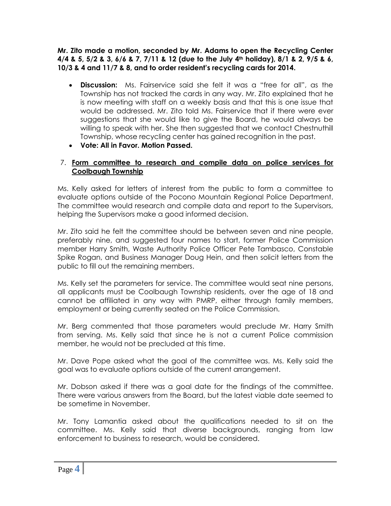**Mr. Zito made a motion, seconded by Mr. Adams to open the Recycling Center 4/4 & 5, 5/2 & 3, 6/6 & 7, 7/11 & 12 (due to the July 4th holiday), 8/1 & 2, 9/5 & 6, 10/3 & 4 and 11/7 & 8, and to order resident's recycling cards for 2014.**

- **Discussion:** Ms. Fairservice said she felt it was a "free for all", as the Township has not tracked the cards in any way. Mr. Zito explained that he is now meeting with staff on a weekly basis and that this is one issue that would be addressed. Mr. Zito told Ms. Fairservice that if there were ever suggestions that she would like to give the Board, he would always be willing to speak with her. She then suggested that we contact Chestnuthill Township, whose recycling center has gained recognition in the past.
- **Vote: All in Favor. Motion Passed.**

## 7. **Form committee to research and compile data on police services for Coolbaugh Township**

Ms. Kelly asked for letters of interest from the public to form a committee to evaluate options outside of the Pocono Mountain Regional Police Department. The committee would research and compile data and report to the Supervisors, helping the Supervisors make a good informed decision.

Mr. Zito said he felt the committee should be between seven and nine people, preferably nine, and suggested four names to start, former Police Commission member Harry Smith, Waste Authority Police Officer Pete Tambasco, Constable Spike Rogan, and Business Manager Doug Hein, and then solicit letters from the public to fill out the remaining members.

Ms. Kelly set the parameters for service. The committee would seat nine persons, all applicants must be Coolbaugh Township residents, over the age of 18 and cannot be affiliated in any way with PMRP, either through family members, employment or being currently seated on the Police Commission.

Mr. Berg commented that those parameters would preclude Mr. Harry Smith from serving. Ms. Kelly said that since he is not a current Police commission member, he would not be precluded at this time.

Mr. Dave Pope asked what the goal of the committee was. Ms. Kelly said the goal was to evaluate options outside of the current arrangement.

Mr. Dobson asked if there was a goal date for the findings of the committee. There were various answers from the Board, but the latest viable date seemed to be sometime in November.

Mr. Tony Lamantia asked about the qualifications needed to sit on the committee. Ms. Kelly said that diverse backgrounds, ranging from law enforcement to business to research, would be considered.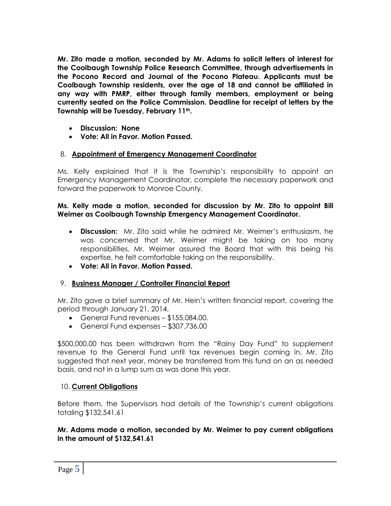**Mr. Zito made a motion, seconded by Mr. Adams to solicit letters of interest for the Coolbaugh Township Police Research Committee, through advertisements in the Pocono Record and Journal of the Pocono Plateau. Applicants must be Coolbaugh Township residents, over the age of 18 and cannot be affiliated in any way with PMRP, either through family members, employment or being currently seated on the Police Commission. Deadline for receipt of letters by the Township will be Tuesday, February 11th.**

- **Discussion: None**
- **Vote: All in Favor. Motion Passed.**

# 8. **Appointment of Emergency Management Coordinator**

Ms. Kelly explained that it is the Township's responsibility to appoint an Emergency Management Coordinator, complete the necessary paperwork and forward the paperwork to Monroe County.

### **Ms. Kelly made a motion, seconded for discussion by Mr. Zito to appoint Bill Weimer as Coolbaugh Township Emergency Management Coordinator.**

- **Discussion:** Mr. Zito said while he admired Mr. Weimer's enthusiasm, he was concerned that Mr. Weimer might be taking on too many responsibilities. Mr. Weimer assured the Board that with this being his expertise, he felt comfortable taking on the responsibility.
- **Vote: All in Favor. Motion Passed.**

# 9. **Business Manager / Controller Financial Report**

Mr. Zito gave a brief summary of Mr. Hein's written financial report, covering the period through January 21, 2014.

- General Fund revenues \$155,084.00.
- General Fund expenses \$307,736.00

\$500,000.00 has been withdrawn from the "Rainy Day Fund" to supplement revenue to the General Fund until tax revenues begin coming in. Mr. Zito suggested that next year, money be transferred from this fund on an as needed basis, and not in a lump sum as was done this year.

### 10. **Current Obligations**

Before them, the Supervisors had details of the Township's current obligations totaling \$132,541.61

### **Mr. Adams made a motion, seconded by Mr. Weimer to pay current obligations in the amount of \$132,541.61**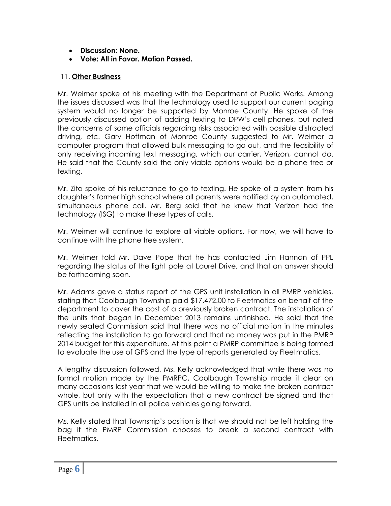- **Discussion: None.**
- **Vote: All in Favor. Motion Passed.**

# 11. **Other Business**

Mr. Weimer spoke of his meeting with the Department of Public Works. Among the issues discussed was that the technology used to support our current paging system would no longer be supported by Monroe County. He spoke of the previously discussed option of adding texting to DPW's cell phones, but noted the concerns of some officials regarding risks associated with possible distracted driving, etc. Gary Hoffman of Monroe County suggested to Mr. Weimer a computer program that allowed bulk messaging to go out, and the feasibility of only receiving incoming text messaging, which our carrier, Verizon, cannot do. He said that the County said the only viable options would be a phone tree or texting.

Mr. Zito spoke of his reluctance to go to texting. He spoke of a system from his daughter's former high school where all parents were notified by an automated, simultaneous phone call. Mr. Berg said that he knew that Verizon had the technology (ISG) to make these types of calls.

Mr. Weimer will continue to explore all viable options. For now, we will have to continue with the phone tree system.

Mr. Weimer told Mr. Dave Pope that he has contacted Jim Hannan of PPL regarding the status of the light pole at Laurel Drive, and that an answer should be forthcoming soon.

Mr. Adams gave a status report of the GPS unit installation in all PMRP vehicles, stating that Coolbaugh Township paid \$17,472.00 to Fleetmatics on behalf of the department to cover the cost of a previously broken contract. The installation of the units that began in December 2013 remains unfinished. He said that the newly seated Commission said that there was no official motion in the minutes reflecting the installation to go forward and that no money was put in the PMRP 2014 budget for this expenditure. At this point a PMRP committee is being formed to evaluate the use of GPS and the type of reports generated by Fleetmatics.

A lengthy discussion followed. Ms. Kelly acknowledged that while there was no formal motion made by the PMRPC, Coolbaugh Township made it clear on many occasions last year that we would be willing to make the broken contract whole, but only with the expectation that a new contract be signed and that GPS units be installed in all police vehicles going forward.

Ms. Kelly stated that Township's position is that we should not be left holding the bag if the PMRP Commission chooses to break a second contract with Fleetmatics.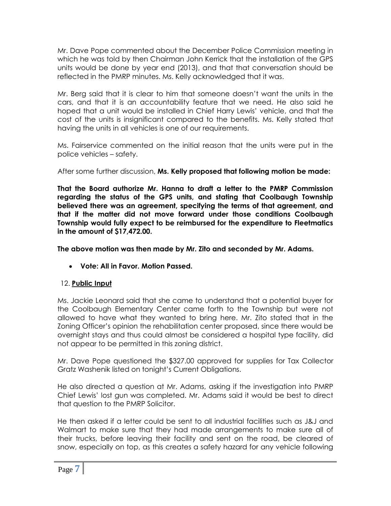Mr. Dave Pope commented about the December Police Commission meeting in which he was told by then Chairman John Kerrick that the installation of the GPS units would be done by year end (2013), and that that conversation should be reflected in the PMRP minutes. Ms. Kelly acknowledged that it was.

Mr. Berg said that it is clear to him that someone doesn't want the units in the cars, and that it is an accountability feature that we need. He also said he hoped that a unit would be installed in Chief Harry Lewis' vehicle, and that the cost of the units is insignificant compared to the benefits. Ms. Kelly stated that having the units in all vehicles is one of our requirements.

Ms. Fairservice commented on the initial reason that the units were put in the police vehicles – safety.

After some further discussion, **Ms. Kelly proposed that following motion be made:**

**That the Board authorize Mr. Hanna to draft a letter to the PMRP Commission regarding the status of the GPS units, and stating that Coolbaugh Township believed there was an agreement, specifying the terms of that agreement, and that if the matter did not move forward under those conditions Coolbaugh Township would fully expect to be reimbursed for the expenditure to Fleetmatics in the amount of \$17,472.00.**

**The above motion was then made by Mr. Zito and seconded by Mr. Adams.**

**Vote: All in Favor. Motion Passed.**

# 12. **Public Input**

Ms. Jackie Leonard said that she came to understand that a potential buyer for the Coolbaugh Elementary Center came forth to the Township but were not allowed to have what they wanted to bring here. Mr. Zito stated that in the Zoning Officer's opinion the rehabilitation center proposed, since there would be overnight stays and thus could almost be considered a hospital type facility, did not appear to be permitted in this zoning district.

Mr. Dave Pope questioned the \$327.00 approved for supplies for Tax Collector Gratz Washenik listed on tonight's Current Obligations.

He also directed a question at Mr. Adams, asking if the investigation into PMRP Chief Lewis' lost gun was completed. Mr. Adams said it would be best to direct that question to the PMRP Solicitor.

He then asked if a letter could be sent to all industrial facilities such as J&J and Walmart to make sure that they had made arrangements to make sure all of their trucks, before leaving their facility and sent on the road, be cleared of snow, especially on top, as this creates a safety hazard for any vehicle following